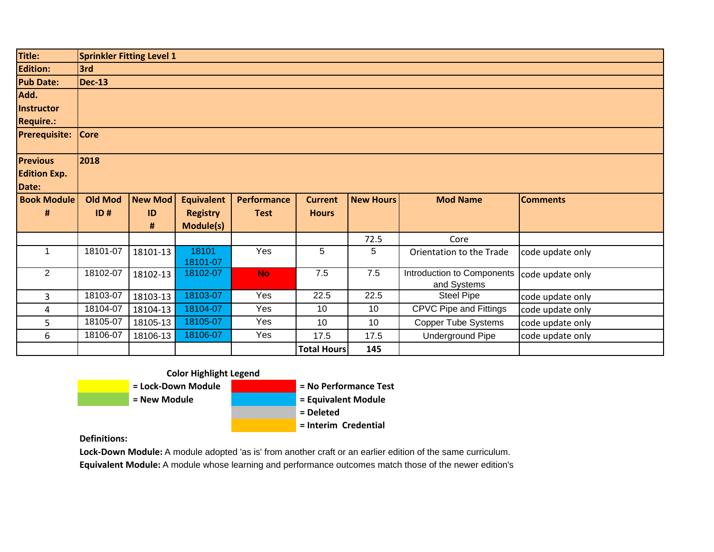| Title:               | <b>Sprinkler Fitting Level 1</b> |                |                   |                    |                    |                  |                                           |                  |  |  |
|----------------------|----------------------------------|----------------|-------------------|--------------------|--------------------|------------------|-------------------------------------------|------------------|--|--|
| <b>Edition:</b>      | 3rd                              |                |                   |                    |                    |                  |                                           |                  |  |  |
| <b>Pub Date:</b>     | <b>Dec-13</b>                    |                |                   |                    |                    |                  |                                           |                  |  |  |
| Add.                 |                                  |                |                   |                    |                    |                  |                                           |                  |  |  |
| <b>Instructor</b>    |                                  |                |                   |                    |                    |                  |                                           |                  |  |  |
| <b>Require.:</b>     |                                  |                |                   |                    |                    |                  |                                           |                  |  |  |
| <b>Prerequisite:</b> | <b>Core</b>                      |                |                   |                    |                    |                  |                                           |                  |  |  |
| <b>Previous</b>      | 2018                             |                |                   |                    |                    |                  |                                           |                  |  |  |
| <b>Edition Exp.</b>  |                                  |                |                   |                    |                    |                  |                                           |                  |  |  |
| Date:                |                                  |                |                   |                    |                    |                  |                                           |                  |  |  |
| <b>Book Module</b>   | <b>Old Mod</b>                   | <b>New Mod</b> | <b>Equivalent</b> | <b>Performance</b> | <b>Current</b>     | <b>New Hours</b> | <b>Mod Name</b>                           | <b>Comments</b>  |  |  |
| #                    | ID#                              | ID             | <b>Registry</b>   | <b>Test</b>        | <b>Hours</b>       |                  |                                           |                  |  |  |
|                      |                                  | #              | Module(s)         |                    |                    |                  |                                           |                  |  |  |
|                      |                                  |                |                   |                    |                    | 72.5             | Core                                      |                  |  |  |
| $\mathbf 1$          | 18101-07                         | 18101-13       | 18101<br>18101-07 | Yes                | 5                  | 5                | Orientation to the Trade                  | code update only |  |  |
| $\overline{2}$       | 18102-07                         | 18102-13       | 18102-07          | <b>No</b>          | 7.5                | 7.5              | Introduction to Components<br>and Systems | code update only |  |  |
| 3                    | 18103-07                         | 18103-13       | 18103-07          | Yes                | 22.5               | 22.5             | <b>Steel Pipe</b>                         | code update only |  |  |
| 4                    | 18104-07                         | 18104-13       | 18104-07          | Yes                | 10                 | 10 <sup>°</sup>  | <b>CPVC Pipe and Fittings</b>             | code update only |  |  |
| 5                    | 18105-07                         | 18105-13       | 18105-07          | Yes                | 10                 | 10 <sup>1</sup>  | <b>Copper Tube Systems</b>                | code update only |  |  |
| 6                    | 18106-07                         | 18106-13       | 18106-07          | Yes                | 17.5               | 17.5             | <b>Underground Pipe</b>                   | code update only |  |  |
|                      |                                  |                |                   |                    | <b>Total Hours</b> | 145              |                                           |                  |  |  |





**Definitions:**

**Lock‐Down Module:** A module adopted 'as is' from another craft or an earlier edition of the same curriculum. **Equivalent Module:** A module whose learning and performance outcomes match those of the newer edition's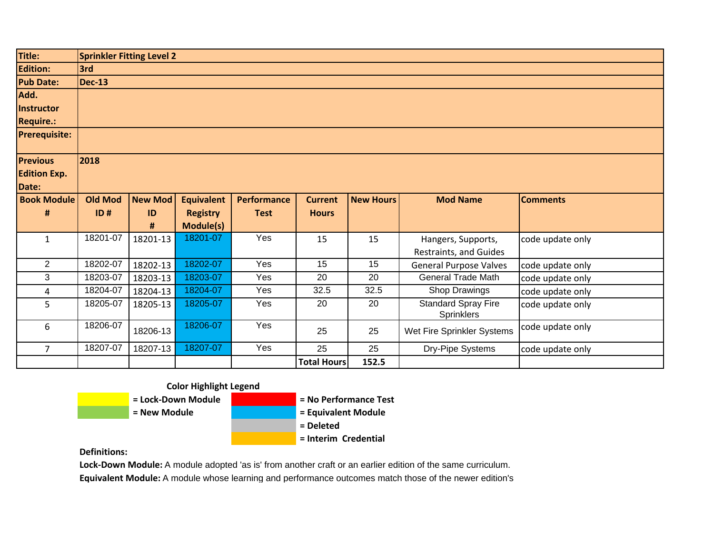| Title:               | <b>Sprinkler Fitting Level 2</b> |                |                   |                    |                    |                  |                                                 |                  |  |  |  |
|----------------------|----------------------------------|----------------|-------------------|--------------------|--------------------|------------------|-------------------------------------------------|------------------|--|--|--|
| <b>Edition:</b>      | 3rd                              |                |                   |                    |                    |                  |                                                 |                  |  |  |  |
| <b>Pub Date:</b>     | <b>Dec-13</b>                    |                |                   |                    |                    |                  |                                                 |                  |  |  |  |
| Add.                 |                                  |                |                   |                    |                    |                  |                                                 |                  |  |  |  |
| Instructor           |                                  |                |                   |                    |                    |                  |                                                 |                  |  |  |  |
| <b>Require.:</b>     |                                  |                |                   |                    |                    |                  |                                                 |                  |  |  |  |
| <b>Prerequisite:</b> |                                  |                |                   |                    |                    |                  |                                                 |                  |  |  |  |
| <b>Previous</b>      | 2018                             |                |                   |                    |                    |                  |                                                 |                  |  |  |  |
| <b>Edition Exp.</b>  |                                  |                |                   |                    |                    |                  |                                                 |                  |  |  |  |
| Date:                |                                  |                |                   |                    |                    |                  |                                                 |                  |  |  |  |
| <b>Book Module</b>   | <b>Old Mod</b>                   | <b>New Mod</b> | <b>Equivalent</b> | <b>Performance</b> | <b>Current</b>     | <b>New Hours</b> | <b>Mod Name</b>                                 | <b>Comments</b>  |  |  |  |
| #                    | ID#                              | ID             | <b>Registry</b>   | <b>Test</b>        | <b>Hours</b>       |                  |                                                 |                  |  |  |  |
|                      |                                  | #              | Module(s)         |                    |                    |                  |                                                 |                  |  |  |  |
| $\mathbf{1}$         | 18201-07                         | 18201-13       | 18201-07          | Yes                | 15                 | 15               | Hangers, Supports,                              | code update only |  |  |  |
|                      |                                  |                |                   |                    |                    |                  | Restraints, and Guides                          |                  |  |  |  |
| $\overline{2}$       | 18202-07                         | 18202-13       | 18202-07          | Yes                | 15                 | 15               | <b>General Purpose Valves</b>                   | code update only |  |  |  |
| 3                    | 18203-07                         | 18203-13       | 18203-07          | Yes                | 20                 | 20               | <b>General Trade Math</b>                       | code update only |  |  |  |
| 4                    | 18204-07                         | 18204-13       | 18204-07          | Yes                | 32.5               | 32.5             | Shop Drawings                                   | code update only |  |  |  |
| 5                    | 18205-07                         | 18205-13       | 18205-07          | Yes                | 20                 | 20               | <b>Standard Spray Fire</b><br><b>Sprinklers</b> | code update only |  |  |  |
| 6                    | 18206-07                         | 18206-13       | 18206-07          | Yes                | 25                 | 25               | Wet Fire Sprinkler Systems                      | code update only |  |  |  |
| $\overline{7}$       | 18207-07                         | 18207-13       | 18207-07          | Yes                | 25                 | 25               | Dry-Pipe Systems                                | code update only |  |  |  |
|                      |                                  |                |                   |                    | <b>Total Hours</b> | 152.5            |                                                 |                  |  |  |  |

## **Color Highlight Legend**



**Definitions:**

**Lock‐Down Module:** A module adopted 'as is' from another craft or an earlier edition of the same curriculum.

**Equivalent Module:** A module whose learning and performance outcomes match those of the newer edition's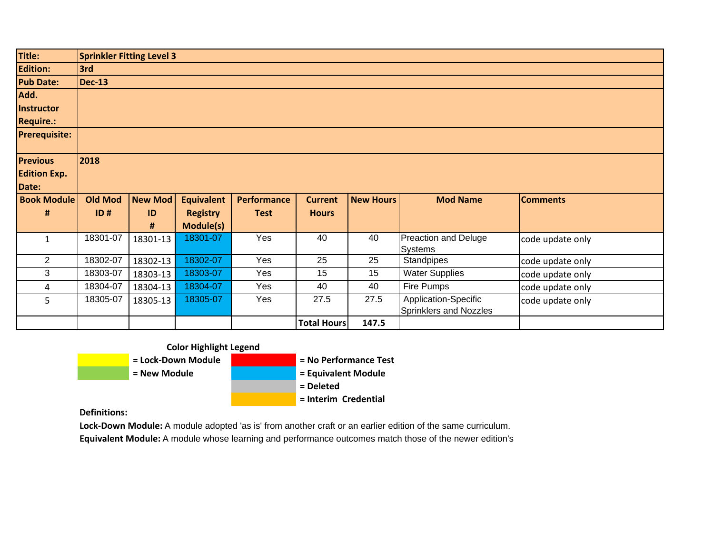| Title:               | <b>Sprinkler Fitting Level 3</b> |                |                   |                    |                    |                  |                                                |                  |
|----------------------|----------------------------------|----------------|-------------------|--------------------|--------------------|------------------|------------------------------------------------|------------------|
| <b>Edition:</b>      | 3rd                              |                |                   |                    |                    |                  |                                                |                  |
| <b>Pub Date:</b>     | <b>Dec-13</b>                    |                |                   |                    |                    |                  |                                                |                  |
| Add.                 |                                  |                |                   |                    |                    |                  |                                                |                  |
| <b>Instructor</b>    |                                  |                |                   |                    |                    |                  |                                                |                  |
| <b>Require.:</b>     |                                  |                |                   |                    |                    |                  |                                                |                  |
| <b>Prerequisite:</b> |                                  |                |                   |                    |                    |                  |                                                |                  |
| <b>Previous</b>      | 2018                             |                |                   |                    |                    |                  |                                                |                  |
| <b>Edition Exp.</b>  |                                  |                |                   |                    |                    |                  |                                                |                  |
| Date:                |                                  |                |                   |                    |                    |                  |                                                |                  |
| <b>Book Module</b>   | <b>Old Mod</b>                   | <b>New Mod</b> | <b>Equivalent</b> | <b>Performance</b> | <b>Current</b>     | <b>New Hours</b> | <b>Mod Name</b>                                | <b>Comments</b>  |
| $\#$                 | ID#                              | ID             | <b>Registry</b>   | <b>Test</b>        | <b>Hours</b>       |                  |                                                |                  |
|                      |                                  | #              | <b>Module(s)</b>  |                    |                    |                  |                                                |                  |
| $\mathbf{1}$         | 18301-07                         | 18301-13       | 18301-07          | Yes                | 40                 | 40               | Preaction and Deluge<br>Systems                | code update only |
| $\overline{2}$       | 18302-07                         | 18302-13       | 18302-07          | Yes                | 25                 | 25               | <b>Standpipes</b>                              | code update only |
| 3                    | 18303-07                         | 18303-13       | 18303-07          | Yes                | 15                 | 15               | <b>Water Supplies</b>                          | code update only |
| 4                    | 18304-07                         | 18304-13       | 18304-07          | Yes                | 40                 | 40               | Fire Pumps                                     | code update only |
| 5                    | 18305-07                         | 18305-13       | 18305-07          | Yes                | 27.5               | 27.5             | Application-Specific<br>Sprinklers and Nozzles | code update only |
|                      |                                  |                |                   |                    | <b>Total Hours</b> | 147.5            |                                                |                  |



**Definitions:**

**Lock‐Down Module:** A module adopted 'as is' from another craft or an earlier edition of the same curriculum.

**Equivalent Module:** A module whose learning and performance outcomes match those of the newer edition's